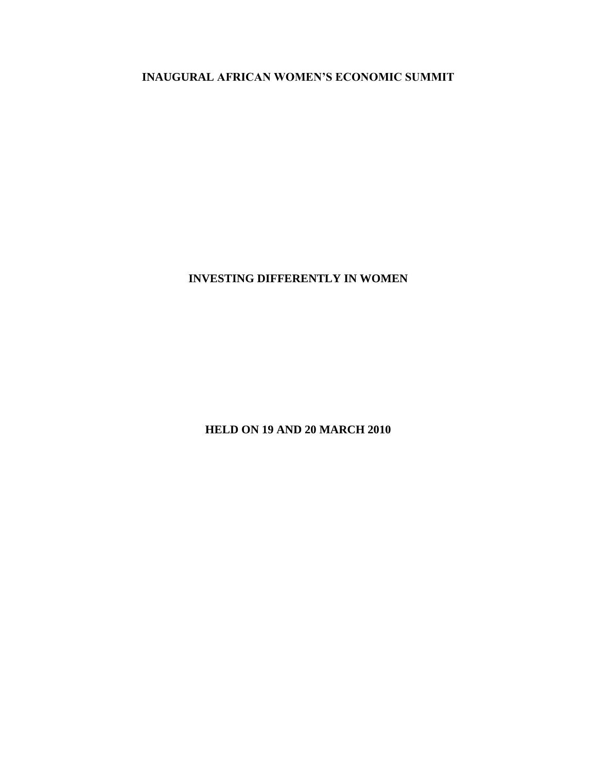**INAUGURAL AFRICAN WOMEN'S ECONOMIC SUMMIT**

**INVESTING DIFFERENTLY IN WOMEN**

**HELD ON 19 AND 20 MARCH 2010**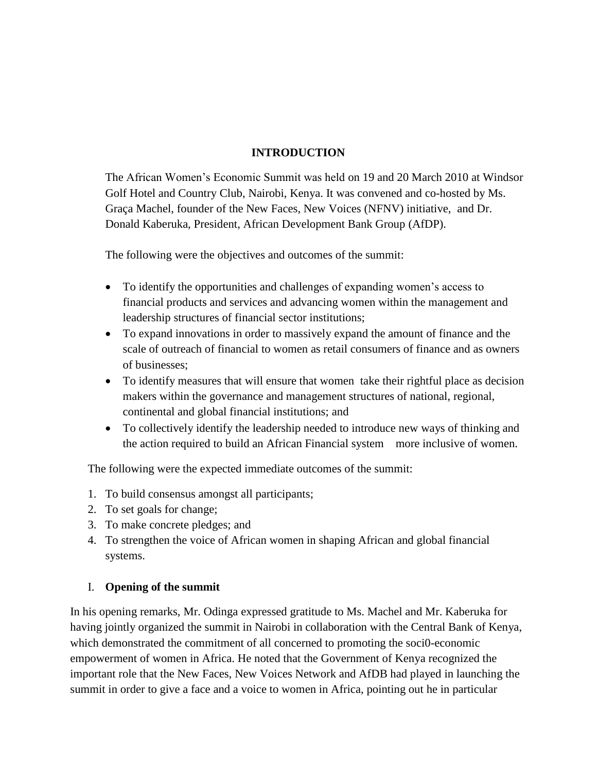## **INTRODUCTION**

The African Women's Economic Summit was held on 19 and 20 March 2010 at Windsor Golf Hotel and Country Club, Nairobi, Kenya. It was convened and co-hosted by Ms. Graça Machel, founder of the New Faces, New Voices (NFNV) initiative, and Dr. Donald Kaberuka, President, African Development Bank Group (AfDP).

The following were the objectives and outcomes of the summit:

- To identify the opportunities and challenges of expanding women's access to financial products and services and advancing women within the management and leadership structures of financial sector institutions;
- To expand innovations in order to massively expand the amount of finance and the scale of outreach of financial to women as retail consumers of finance and as owners of businesses;
- To identify measures that will ensure that women take their rightful place as decision makers within the governance and management structures of national, regional, continental and global financial institutions; and
- To collectively identify the leadership needed to introduce new ways of thinking and the action required to build an African Financial system more inclusive of women.

The following were the expected immediate outcomes of the summit:

- 1. To build consensus amongst all participants;
- 2. To set goals for change;
- 3. To make concrete pledges; and
- 4. To strengthen the voice of African women in shaping African and global financial systems.

## I. **Opening of the summit**

In his opening remarks, Mr. Odinga expressed gratitude to Ms. Machel and Mr. Kaberuka for having jointly organized the summit in Nairobi in collaboration with the Central Bank of Kenya, which demonstrated the commitment of all concerned to promoting the soci0-economic empowerment of women in Africa. He noted that the Government of Kenya recognized the important role that the New Faces, New Voices Network and AfDB had played in launching the summit in order to give a face and a voice to women in Africa, pointing out he in particular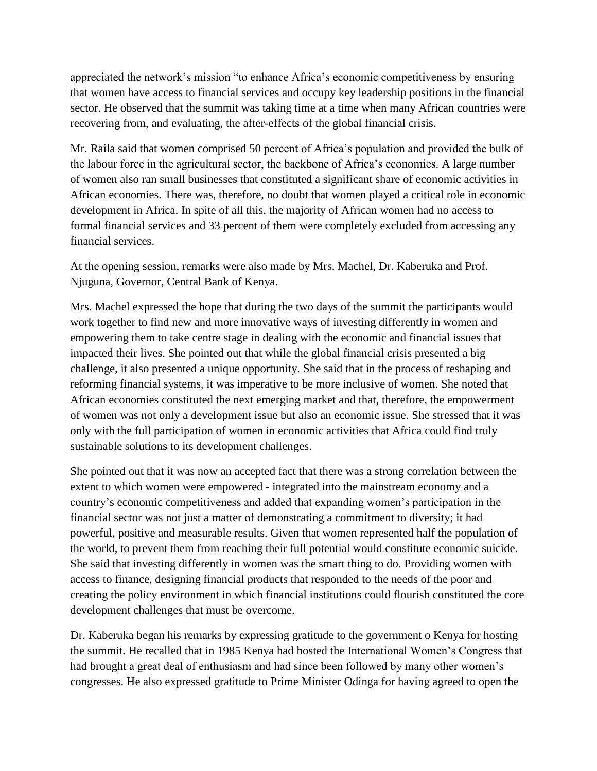appreciated the network's mission "to enhance Africa's economic competitiveness by ensuring that women have access to financial services and occupy key leadership positions in the financial sector. He observed that the summit was taking time at a time when many African countries were recovering from, and evaluating, the after-effects of the global financial crisis.

Mr. Raila said that women comprised 50 percent of Africa's population and provided the bulk of the labour force in the agricultural sector, the backbone of Africa's economies. A large number of women also ran small businesses that constituted a significant share of economic activities in African economies. There was, therefore, no doubt that women played a critical role in economic development in Africa. In spite of all this, the majority of African women had no access to formal financial services and 33 percent of them were completely excluded from accessing any financial services.

At the opening session, remarks were also made by Mrs. Machel, Dr. Kaberuka and Prof. Njuguna, Governor, Central Bank of Kenya.

Mrs. Machel expressed the hope that during the two days of the summit the participants would work together to find new and more innovative ways of investing differently in women and empowering them to take centre stage in dealing with the economic and financial issues that impacted their lives. She pointed out that while the global financial crisis presented a big challenge, it also presented a unique opportunity. She said that in the process of reshaping and reforming financial systems, it was imperative to be more inclusive of women. She noted that African economies constituted the next emerging market and that, therefore, the empowerment of women was not only a development issue but also an economic issue. She stressed that it was only with the full participation of women in economic activities that Africa could find truly sustainable solutions to its development challenges.

She pointed out that it was now an accepted fact that there was a strong correlation between the extent to which women were empowered - integrated into the mainstream economy and a country's economic competitiveness and added that expanding women's participation in the financial sector was not just a matter of demonstrating a commitment to diversity; it had powerful, positive and measurable results. Given that women represented half the population of the world, to prevent them from reaching their full potential would constitute economic suicide. She said that investing differently in women was the smart thing to do. Providing women with access to finance, designing financial products that responded to the needs of the poor and creating the policy environment in which financial institutions could flourish constituted the core development challenges that must be overcome.

Dr. Kaberuka began his remarks by expressing gratitude to the government o Kenya for hosting the summit. He recalled that in 1985 Kenya had hosted the International Women's Congress that had brought a great deal of enthusiasm and had since been followed by many other women's congresses. He also expressed gratitude to Prime Minister Odinga for having agreed to open the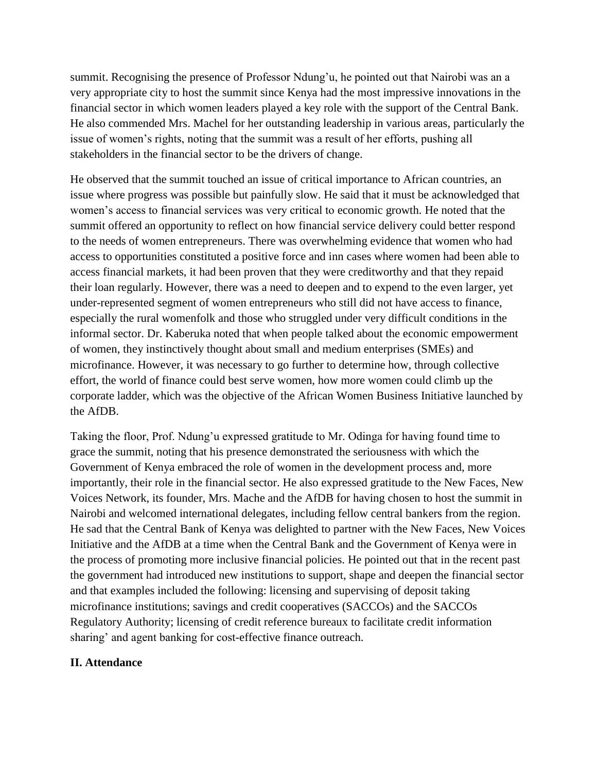summit. Recognising the presence of Professor Ndung'u, he pointed out that Nairobi was an a very appropriate city to host the summit since Kenya had the most impressive innovations in the financial sector in which women leaders played a key role with the support of the Central Bank. He also commended Mrs. Machel for her outstanding leadership in various areas, particularly the issue of women's rights, noting that the summit was a result of her efforts, pushing all stakeholders in the financial sector to be the drivers of change.

He observed that the summit touched an issue of critical importance to African countries, an issue where progress was possible but painfully slow. He said that it must be acknowledged that women's access to financial services was very critical to economic growth. He noted that the summit offered an opportunity to reflect on how financial service delivery could better respond to the needs of women entrepreneurs. There was overwhelming evidence that women who had access to opportunities constituted a positive force and inn cases where women had been able to access financial markets, it had been proven that they were creditworthy and that they repaid their loan regularly. However, there was a need to deepen and to expend to the even larger, yet under-represented segment of women entrepreneurs who still did not have access to finance, especially the rural womenfolk and those who struggled under very difficult conditions in the informal sector. Dr. Kaberuka noted that when people talked about the economic empowerment of women, they instinctively thought about small and medium enterprises (SMEs) and microfinance. However, it was necessary to go further to determine how, through collective effort, the world of finance could best serve women, how more women could climb up the corporate ladder, which was the objective of the African Women Business Initiative launched by the AfDB.

Taking the floor, Prof. Ndung'u expressed gratitude to Mr. Odinga for having found time to grace the summit, noting that his presence demonstrated the seriousness with which the Government of Kenya embraced the role of women in the development process and, more importantly, their role in the financial sector. He also expressed gratitude to the New Faces, New Voices Network, its founder, Mrs. Mache and the AfDB for having chosen to host the summit in Nairobi and welcomed international delegates, including fellow central bankers from the region. He sad that the Central Bank of Kenya was delighted to partner with the New Faces, New Voices Initiative and the AfDB at a time when the Central Bank and the Government of Kenya were in the process of promoting more inclusive financial policies. He pointed out that in the recent past the government had introduced new institutions to support, shape and deepen the financial sector and that examples included the following: licensing and supervising of deposit taking microfinance institutions; savings and credit cooperatives (SACCOs) and the SACCOs Regulatory Authority; licensing of credit reference bureaux to facilitate credit information sharing' and agent banking for cost-effective finance outreach.

#### **II. Attendance**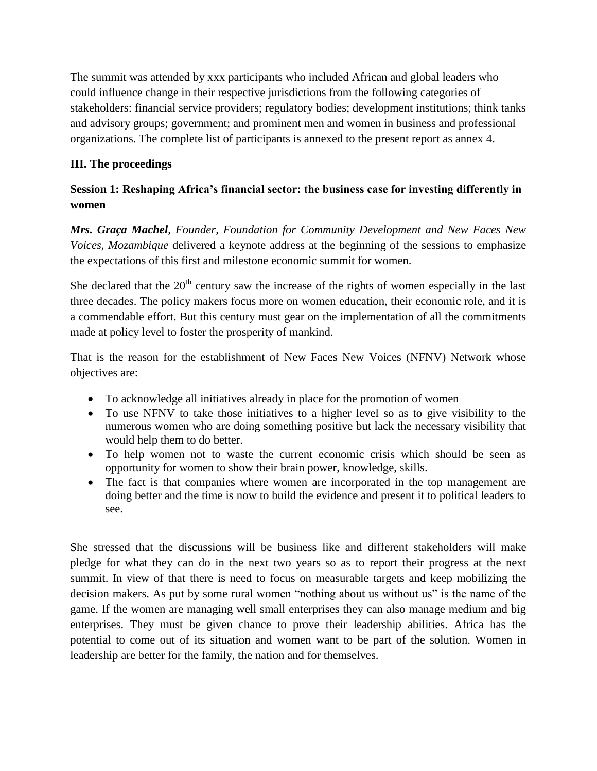The summit was attended by xxx participants who included African and global leaders who could influence change in their respective jurisdictions from the following categories of stakeholders: financial service providers; regulatory bodies; development institutions; think tanks and advisory groups; government; and prominent men and women in business and professional organizations. The complete list of participants is annexed to the present report as annex 4.

# **III. The proceedings**

# **Session 1: Reshaping Africa's financial sector: the business case for investing differently in women**

*Mrs. Graça Machel, Founder, Foundation for Community Development and New Faces New Voices, Mozambique* delivered a keynote address at the beginning of the sessions to emphasize the expectations of this first and milestone economic summit for women.

She declared that the  $20<sup>th</sup>$  century saw the increase of the rights of women especially in the last three decades. The policy makers focus more on women education, their economic role, and it is a commendable effort. But this century must gear on the implementation of all the commitments made at policy level to foster the prosperity of mankind.

That is the reason for the establishment of New Faces New Voices (NFNV) Network whose objectives are:

- To acknowledge all initiatives already in place for the promotion of women
- To use NFNV to take those initiatives to a higher level so as to give visibility to the numerous women who are doing something positive but lack the necessary visibility that would help them to do better.
- To help women not to waste the current economic crisis which should be seen as opportunity for women to show their brain power, knowledge, skills.
- The fact is that companies where women are incorporated in the top management are doing better and the time is now to build the evidence and present it to political leaders to see.

She stressed that the discussions will be business like and different stakeholders will make pledge for what they can do in the next two years so as to report their progress at the next summit. In view of that there is need to focus on measurable targets and keep mobilizing the decision makers. As put by some rural women "nothing about us without us" is the name of the game. If the women are managing well small enterprises they can also manage medium and big enterprises. They must be given chance to prove their leadership abilities. Africa has the potential to come out of its situation and women want to be part of the solution. Women in leadership are better for the family, the nation and for themselves.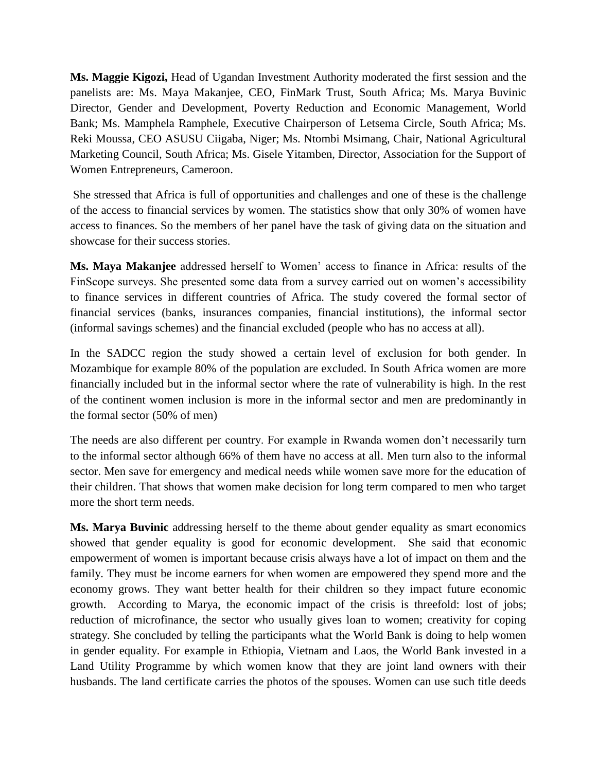**Ms. Maggie Kigozi,** Head of Ugandan Investment Authority moderated the first session and the panelists are: Ms. Maya Makanjee, CEO, FinMark Trust, South Africa; Ms. Marya Buvinic Director, Gender and Development, Poverty Reduction and Economic Management, World Bank; Ms. Mamphela Ramphele, Executive Chairperson of Letsema Circle, South Africa; Ms. Reki Moussa, CEO ASUSU Ciigaba, Niger; Ms. Ntombi Msimang, Chair, National Agricultural Marketing Council, South Africa; Ms. Gisele Yitamben, Director, Association for the Support of Women Entrepreneurs, Cameroon.

She stressed that Africa is full of opportunities and challenges and one of these is the challenge of the access to financial services by women. The statistics show that only 30% of women have access to finances. So the members of her panel have the task of giving data on the situation and showcase for their success stories.

**Ms. Maya Makanjee** addressed herself to Women' access to finance in Africa: results of the FinScope surveys. She presented some data from a survey carried out on women's accessibility to finance services in different countries of Africa. The study covered the formal sector of financial services (banks, insurances companies, financial institutions), the informal sector (informal savings schemes) and the financial excluded (people who has no access at all).

In the SADCC region the study showed a certain level of exclusion for both gender. In Mozambique for example 80% of the population are excluded. In South Africa women are more financially included but in the informal sector where the rate of vulnerability is high. In the rest of the continent women inclusion is more in the informal sector and men are predominantly in the formal sector (50% of men)

The needs are also different per country. For example in Rwanda women don't necessarily turn to the informal sector although 66% of them have no access at all. Men turn also to the informal sector. Men save for emergency and medical needs while women save more for the education of their children. That shows that women make decision for long term compared to men who target more the short term needs.

**Ms. Marya Buvinic** addressing herself to the theme about gender equality as smart economics showed that gender equality is good for economic development. She said that economic empowerment of women is important because crisis always have a lot of impact on them and the family. They must be income earners for when women are empowered they spend more and the economy grows. They want better health for their children so they impact future economic growth. According to Marya, the economic impact of the crisis is threefold: lost of jobs; reduction of microfinance, the sector who usually gives loan to women; creativity for coping strategy. She concluded by telling the participants what the World Bank is doing to help women in gender equality. For example in Ethiopia, Vietnam and Laos, the World Bank invested in a Land Utility Programme by which women know that they are joint land owners with their husbands. The land certificate carries the photos of the spouses. Women can use such title deeds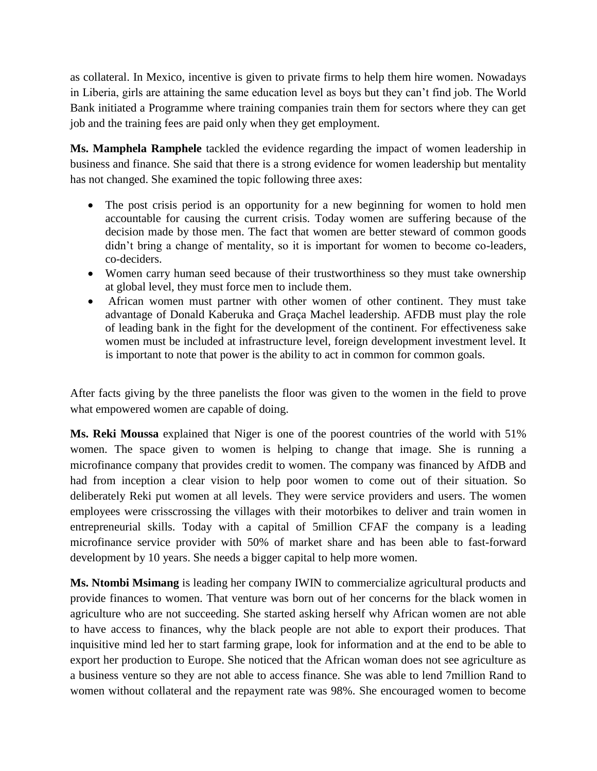as collateral. In Mexico, incentive is given to private firms to help them hire women. Nowadays in Liberia, girls are attaining the same education level as boys but they can't find job. The World Bank initiated a Programme where training companies train them for sectors where they can get job and the training fees are paid only when they get employment.

**Ms. Mamphela Ramphele** tackled the evidence regarding the impact of women leadership in business and finance. She said that there is a strong evidence for women leadership but mentality has not changed. She examined the topic following three axes:

- The post crisis period is an opportunity for a new beginning for women to hold men accountable for causing the current crisis. Today women are suffering because of the decision made by those men. The fact that women are better steward of common goods didn't bring a change of mentality, so it is important for women to become co-leaders, co-deciders.
- Women carry human seed because of their trustworthiness so they must take ownership at global level, they must force men to include them.
- African women must partner with other women of other continent. They must take advantage of Donald Kaberuka and Graça Machel leadership. AFDB must play the role of leading bank in the fight for the development of the continent. For effectiveness sake women must be included at infrastructure level, foreign development investment level. It is important to note that power is the ability to act in common for common goals.

After facts giving by the three panelists the floor was given to the women in the field to prove what empowered women are capable of doing.

**Ms. Reki Moussa** explained that Niger is one of the poorest countries of the world with 51% women. The space given to women is helping to change that image. She is running a microfinance company that provides credit to women. The company was financed by AfDB and had from inception a clear vision to help poor women to come out of their situation. So deliberately Reki put women at all levels. They were service providers and users. The women employees were crisscrossing the villages with their motorbikes to deliver and train women in entrepreneurial skills. Today with a capital of 5million CFAF the company is a leading microfinance service provider with 50% of market share and has been able to fast-forward development by 10 years. She needs a bigger capital to help more women.

**Ms. Ntombi Msimang** is leading her company IWIN to commercialize agricultural products and provide finances to women. That venture was born out of her concerns for the black women in agriculture who are not succeeding. She started asking herself why African women are not able to have access to finances, why the black people are not able to export their produces. That inquisitive mind led her to start farming grape, look for information and at the end to be able to export her production to Europe. She noticed that the African woman does not see agriculture as a business venture so they are not able to access finance. She was able to lend 7million Rand to women without collateral and the repayment rate was 98%. She encouraged women to become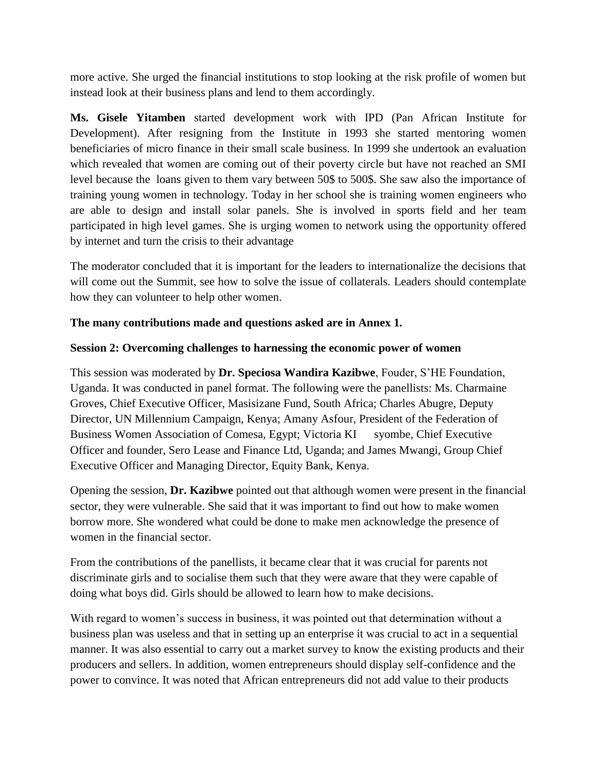more active. She urged the financial institutions to stop looking at the risk profile of women but instead look at their business plans and lend to them accordingly.

**Ms. Gisele Yitamben** started development work with IPD (Pan African Institute for Development). After resigning from the Institute in 1993 she started mentoring women beneficiaries of micro finance in their small scale business. In 1999 she undertook an evaluation which revealed that women are coming out of their poverty circle but have not reached an SMI level because the loans given to them vary between 50\$ to 500\$. She saw also the importance of training young women in technology. Today in her school she is training women engineers who are able to design and install solar panels. She is involved in sports field and her team participated in high level games. She is urging women to network using the opportunity offered by internet and turn the crisis to their advantage

The moderator concluded that it is important for the leaders to internationalize the decisions that will come out the Summit, see how to solve the issue of collaterals. Leaders should contemplate how they can volunteer to help other women.

#### **The many contributions made and questions asked are in Annex 1***.*

#### **Session 2: Overcoming challenges to harnessing the economic power of women**

This session was moderated by **Dr. Speciosa Wandira Kazibwe**, Fouder, S'HE Foundation, Uganda. It was conducted in panel format. The following were the panellists: Ms. Charmaine Groves, Chief Executive Officer, Masisizane Fund, South Africa; Charles Abugre, Deputy Director, UN Millennium Campaign, Kenya; Amany Asfour, President of the Federation of Business Women Association of Comesa, Egypt; Victoria KI syombe, Chief Executive Officer and founder, Sero Lease and Finance Ltd, Uganda; and James Mwangi, Group Chief Executive Officer and Managing Director, Equity Bank, Kenya.

Opening the session, **Dr. Kazibwe** pointed out that although women were present in the financial sector, they were vulnerable. She said that it was important to find out how to make women borrow more. She wondered what could be done to make men acknowledge the presence of women in the financial sector.

From the contributions of the panellists, it became clear that it was crucial for parents not discriminate girls and to socialise them such that they were aware that they were capable of doing what boys did. Girls should be allowed to learn how to make decisions.

With regard to women's success in business, it was pointed out that determination without a business plan was useless and that in setting up an enterprise it was crucial to act in a sequential manner. It was also essential to carry out a market survey to know the existing products and their producers and sellers. In addition, women entrepreneurs should display self-confidence and the power to convince. It was noted that African entrepreneurs did not add value to their products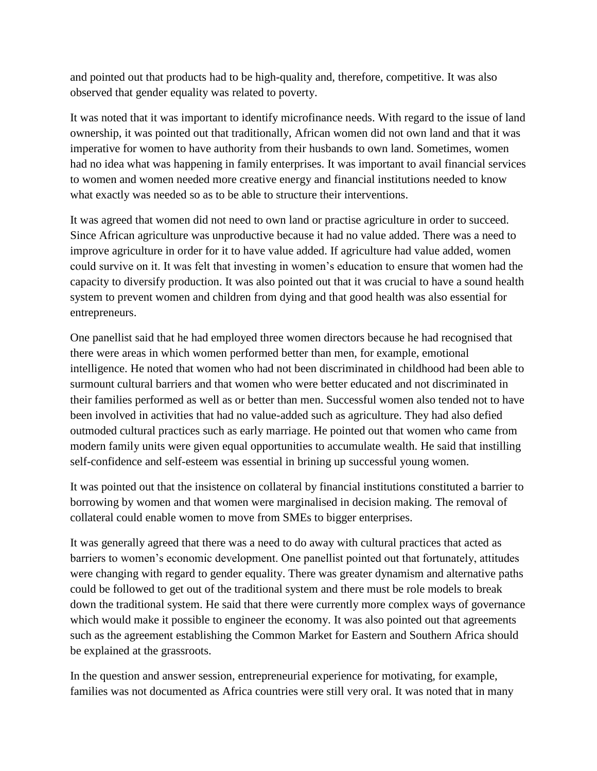and pointed out that products had to be high-quality and, therefore, competitive. It was also observed that gender equality was related to poverty.

It was noted that it was important to identify microfinance needs. With regard to the issue of land ownership, it was pointed out that traditionally, African women did not own land and that it was imperative for women to have authority from their husbands to own land. Sometimes, women had no idea what was happening in family enterprises. It was important to avail financial services to women and women needed more creative energy and financial institutions needed to know what exactly was needed so as to be able to structure their interventions.

It was agreed that women did not need to own land or practise agriculture in order to succeed. Since African agriculture was unproductive because it had no value added. There was a need to improve agriculture in order for it to have value added. If agriculture had value added, women could survive on it. It was felt that investing in women's education to ensure that women had the capacity to diversify production. It was also pointed out that it was crucial to have a sound health system to prevent women and children from dying and that good health was also essential for entrepreneurs.

One panellist said that he had employed three women directors because he had recognised that there were areas in which women performed better than men, for example, emotional intelligence. He noted that women who had not been discriminated in childhood had been able to surmount cultural barriers and that women who were better educated and not discriminated in their families performed as well as or better than men. Successful women also tended not to have been involved in activities that had no value-added such as agriculture. They had also defied outmoded cultural practices such as early marriage. He pointed out that women who came from modern family units were given equal opportunities to accumulate wealth. He said that instilling self-confidence and self-esteem was essential in brining up successful young women.

It was pointed out that the insistence on collateral by financial institutions constituted a barrier to borrowing by women and that women were marginalised in decision making. The removal of collateral could enable women to move from SMEs to bigger enterprises.

It was generally agreed that there was a need to do away with cultural practices that acted as barriers to women's economic development. One panellist pointed out that fortunately, attitudes were changing with regard to gender equality. There was greater dynamism and alternative paths could be followed to get out of the traditional system and there must be role models to break down the traditional system. He said that there were currently more complex ways of governance which would make it possible to engineer the economy. It was also pointed out that agreements such as the agreement establishing the Common Market for Eastern and Southern Africa should be explained at the grassroots.

In the question and answer session, entrepreneurial experience for motivating, for example, families was not documented as Africa countries were still very oral. It was noted that in many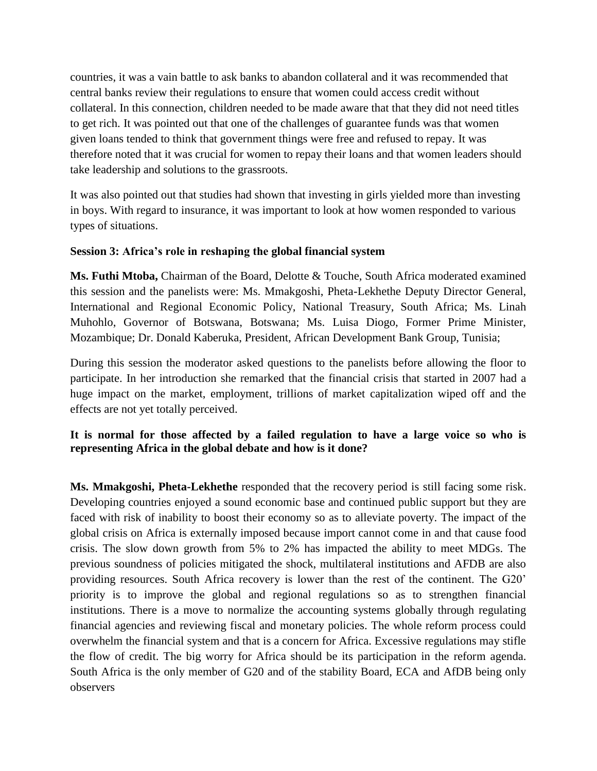countries, it was a vain battle to ask banks to abandon collateral and it was recommended that central banks review their regulations to ensure that women could access credit without collateral. In this connection, children needed to be made aware that that they did not need titles to get rich. It was pointed out that one of the challenges of guarantee funds was that women given loans tended to think that government things were free and refused to repay. It was therefore noted that it was crucial for women to repay their loans and that women leaders should take leadership and solutions to the grassroots.

It was also pointed out that studies had shown that investing in girls yielded more than investing in boys. With regard to insurance, it was important to look at how women responded to various types of situations.

## **Session 3: Africa's role in reshaping the global financial system**

**Ms. Futhi Mtoba,** Chairman of the Board, Delotte & Touche, South Africa moderated examined this session and the panelists were: Ms. Mmakgoshi, Pheta-Lekhethe Deputy Director General, International and Regional Economic Policy, National Treasury, South Africa; Ms. Linah Muhohlo, Governor of Botswana, Botswana; Ms. Luisa Diogo, Former Prime Minister, Mozambique; Dr. Donald Kaberuka, President, African Development Bank Group, Tunisia;

During this session the moderator asked questions to the panelists before allowing the floor to participate. In her introduction she remarked that the financial crisis that started in 2007 had a huge impact on the market, employment, trillions of market capitalization wiped off and the effects are not yet totally perceived.

## **It is normal for those affected by a failed regulation to have a large voice so who is representing Africa in the global debate and how is it done?**

**Ms. Mmakgoshi, Pheta-Lekhethe** responded that the recovery period is still facing some risk. Developing countries enjoyed a sound economic base and continued public support but they are faced with risk of inability to boost their economy so as to alleviate poverty. The impact of the global crisis on Africa is externally imposed because import cannot come in and that cause food crisis. The slow down growth from 5% to 2% has impacted the ability to meet MDGs. The previous soundness of policies mitigated the shock, multilateral institutions and AFDB are also providing resources. South Africa recovery is lower than the rest of the continent. The G20' priority is to improve the global and regional regulations so as to strengthen financial institutions. There is a move to normalize the accounting systems globally through regulating financial agencies and reviewing fiscal and monetary policies. The whole reform process could overwhelm the financial system and that is a concern for Africa. Excessive regulations may stifle the flow of credit. The big worry for Africa should be its participation in the reform agenda. South Africa is the only member of G20 and of the stability Board, ECA and AfDB being only observers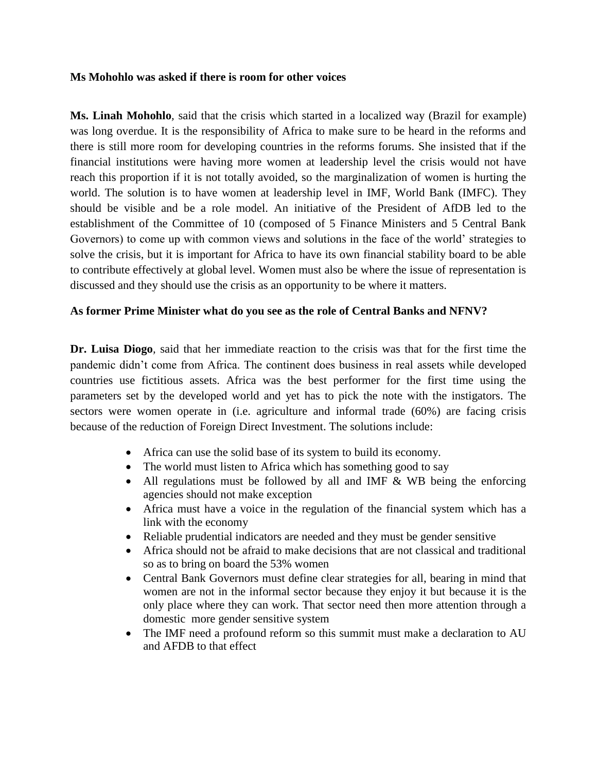#### **Ms Mohohlo was asked if there is room for other voices**

**Ms. Linah Mohohlo***,* said that the crisis which started in a localized way (Brazil for example) was long overdue. It is the responsibility of Africa to make sure to be heard in the reforms and there is still more room for developing countries in the reforms forums. She insisted that if the financial institutions were having more women at leadership level the crisis would not have reach this proportion if it is not totally avoided, so the marginalization of women is hurting the world. The solution is to have women at leadership level in IMF, World Bank (IMFC). They should be visible and be a role model. An initiative of the President of AfDB led to the establishment of the Committee of 10 (composed of 5 Finance Ministers and 5 Central Bank Governors) to come up with common views and solutions in the face of the world' strategies to solve the crisis, but it is important for Africa to have its own financial stability board to be able to contribute effectively at global level. Women must also be where the issue of representation is discussed and they should use the crisis as an opportunity to be where it matters.

#### **As former Prime Minister what do you see as the role of Central Banks and NFNV?**

**Dr. Luisa Diogo***,* said that her immediate reaction to the crisis was that for the first time the pandemic didn't come from Africa. The continent does business in real assets while developed countries use fictitious assets. Africa was the best performer for the first time using the parameters set by the developed world and yet has to pick the note with the instigators. The sectors were women operate in (i.e. agriculture and informal trade (60%) are facing crisis because of the reduction of Foreign Direct Investment. The solutions include:

- Africa can use the solid base of its system to build its economy.
- The world must listen to Africa which has something good to say
- All regulations must be followed by all and IMF & WB being the enforcing agencies should not make exception
- Africa must have a voice in the regulation of the financial system which has a link with the economy
- Reliable prudential indicators are needed and they must be gender sensitive
- Africa should not be afraid to make decisions that are not classical and traditional so as to bring on board the 53% women
- Central Bank Governors must define clear strategies for all, bearing in mind that women are not in the informal sector because they enjoy it but because it is the only place where they can work. That sector need then more attention through a domestic more gender sensitive system
- The IMF need a profound reform so this summit must make a declaration to AU and AFDB to that effect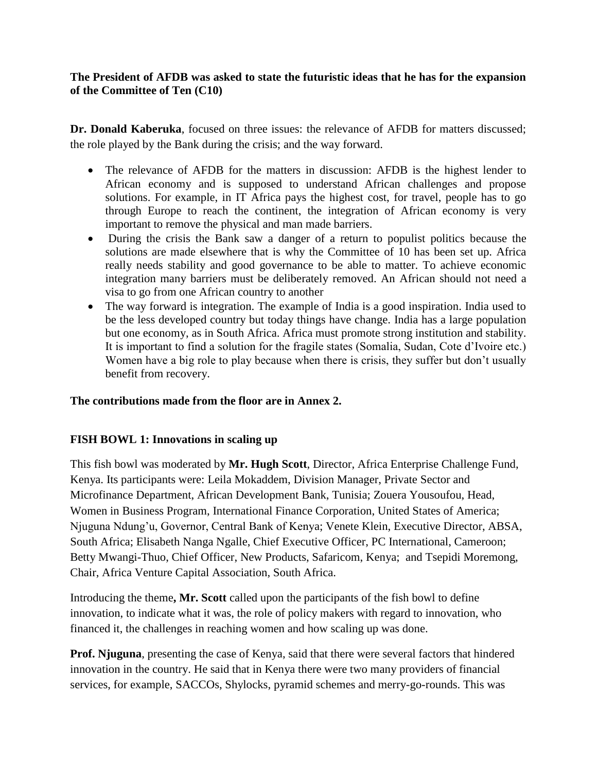#### **The President of AFDB was asked to state the futuristic ideas that he has for the expansion of the Committee of Ten (C10)**

**Dr. Donald Kaberuka**, focused on three issues: the relevance of AFDB for matters discussed; the role played by the Bank during the crisis; and the way forward.

- The relevance of AFDB for the matters in discussion: AFDB is the highest lender to African economy and is supposed to understand African challenges and propose solutions. For example, in IT Africa pays the highest cost, for travel, people has to go through Europe to reach the continent, the integration of African economy is very important to remove the physical and man made barriers.
- During the crisis the Bank saw a danger of a return to populist politics because the solutions are made elsewhere that is why the Committee of 10 has been set up. Africa really needs stability and good governance to be able to matter. To achieve economic integration many barriers must be deliberately removed. An African should not need a visa to go from one African country to another
- The way forward is integration. The example of India is a good inspiration. India used to be the less developed country but today things have change. India has a large population but one economy, as in South Africa. Africa must promote strong institution and stability. It is important to find a solution for the fragile states (Somalia, Sudan, Cote d'Ivoire etc.) Women have a big role to play because when there is crisis, they suffer but don't usually benefit from recovery.

## **The contributions made from the floor are in Annex 2.**

## **FISH BOWL 1: Innovations in scaling up**

This fish bowl was moderated by **Mr. Hugh Scott**, Director, Africa Enterprise Challenge Fund, Kenya. Its participants were: Leila Mokaddem, Division Manager, Private Sector and Microfinance Department, African Development Bank, Tunisia; Zouera Yousoufou, Head, Women in Business Program, International Finance Corporation, United States of America; Njuguna Ndung'u, Governor, Central Bank of Kenya; Venete Klein, Executive Director, ABSA, South Africa; Elisabeth Nanga Ngalle, Chief Executive Officer, PC International, Cameroon; Betty Mwangi-Thuo, Chief Officer, New Products, Safaricom, Kenya; and Tsepidi Moremong, Chair, Africa Venture Capital Association, South Africa.

Introducing the theme**, Mr. Scott** called upon the participants of the fish bowl to define innovation, to indicate what it was, the role of policy makers with regard to innovation, who financed it, the challenges in reaching women and how scaling up was done.

**Prof. Njuguna**, presenting the case of Kenya, said that there were several factors that hindered innovation in the country. He said that in Kenya there were two many providers of financial services, for example, SACCOs, Shylocks, pyramid schemes and merry-go-rounds. This was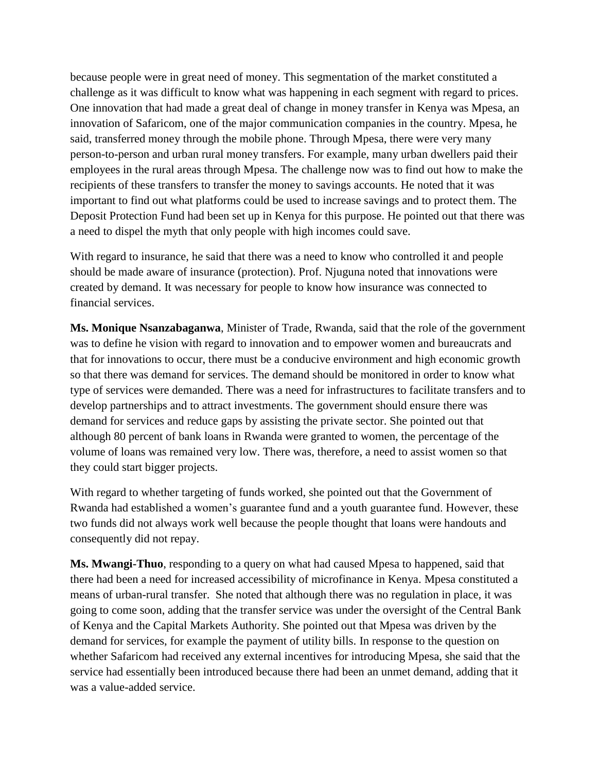because people were in great need of money. This segmentation of the market constituted a challenge as it was difficult to know what was happening in each segment with regard to prices. One innovation that had made a great deal of change in money transfer in Kenya was Mpesa, an innovation of Safaricom, one of the major communication companies in the country. Mpesa, he said, transferred money through the mobile phone. Through Mpesa, there were very many person-to-person and urban rural money transfers. For example, many urban dwellers paid their employees in the rural areas through Mpesa. The challenge now was to find out how to make the recipients of these transfers to transfer the money to savings accounts. He noted that it was important to find out what platforms could be used to increase savings and to protect them. The Deposit Protection Fund had been set up in Kenya for this purpose. He pointed out that there was a need to dispel the myth that only people with high incomes could save.

With regard to insurance, he said that there was a need to know who controlled it and people should be made aware of insurance (protection). Prof. Njuguna noted that innovations were created by demand. It was necessary for people to know how insurance was connected to financial services.

**Ms. Monique Nsanzabaganwa**, Minister of Trade, Rwanda, said that the role of the government was to define he vision with regard to innovation and to empower women and bureaucrats and that for innovations to occur, there must be a conducive environment and high economic growth so that there was demand for services. The demand should be monitored in order to know what type of services were demanded. There was a need for infrastructures to facilitate transfers and to develop partnerships and to attract investments. The government should ensure there was demand for services and reduce gaps by assisting the private sector. She pointed out that although 80 percent of bank loans in Rwanda were granted to women, the percentage of the volume of loans was remained very low. There was, therefore, a need to assist women so that they could start bigger projects.

With regard to whether targeting of funds worked, she pointed out that the Government of Rwanda had established a women's guarantee fund and a youth guarantee fund. However, these two funds did not always work well because the people thought that loans were handouts and consequently did not repay.

**Ms. Mwangi-Thuo**, responding to a query on what had caused Mpesa to happened, said that there had been a need for increased accessibility of microfinance in Kenya. Mpesa constituted a means of urban-rural transfer. She noted that although there was no regulation in place, it was going to come soon, adding that the transfer service was under the oversight of the Central Bank of Kenya and the Capital Markets Authority. She pointed out that Mpesa was driven by the demand for services, for example the payment of utility bills. In response to the question on whether Safaricom had received any external incentives for introducing Mpesa, she said that the service had essentially been introduced because there had been an unmet demand, adding that it was a value-added service.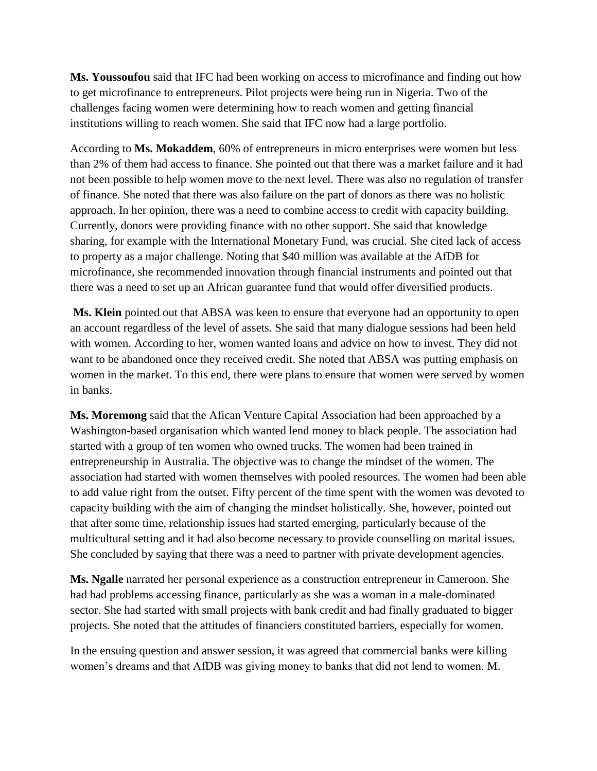**Ms. Youssoufou** said that IFC had been working on access to microfinance and finding out how to get microfinance to entrepreneurs. Pilot projects were being run in Nigeria. Two of the challenges facing women were determining how to reach women and getting financial institutions willing to reach women. She said that IFC now had a large portfolio.

According to **Ms. Mokaddem**, 60% of entrepreneurs in micro enterprises were women but less than 2% of them had access to finance. She pointed out that there was a market failure and it had not been possible to help women move to the next level. There was also no regulation of transfer of finance. She noted that there was also failure on the part of donors as there was no holistic approach. In her opinion, there was a need to combine access to credit with capacity building. Currently, donors were providing finance with no other support. She said that knowledge sharing, for example with the International Monetary Fund, was crucial. She cited lack of access to property as a major challenge. Noting that \$40 million was available at the AfDB for microfinance, she recommended innovation through financial instruments and pointed out that there was a need to set up an African guarantee fund that would offer diversified products.

**Ms. Klein** pointed out that ABSA was keen to ensure that everyone had an opportunity to open an account regardless of the level of assets. She said that many dialogue sessions had been held with women. According to her, women wanted loans and advice on how to invest. They did not want to be abandoned once they received credit. She noted that ABSA was putting emphasis on women in the market. To this end, there were plans to ensure that women were served by women in banks.

**Ms. Moremong** said that the Afican Venture Capital Association had been approached by a Washington-based organisation which wanted lend money to black people. The association had started with a group of ten women who owned trucks. The women had been trained in entrepreneurship in Australia. The objective was to change the mindset of the women. The association had started with women themselves with pooled resources. The women had been able to add value right from the outset. Fifty percent of the time spent with the women was devoted to capacity building with the aim of changing the mindset holistically. She, however, pointed out that after some time, relationship issues had started emerging, particularly because of the multicultural setting and it had also become necessary to provide counselling on marital issues. She concluded by saying that there was a need to partner with private development agencies.

**Ms. Ngalle** narrated her personal experience as a construction entrepreneur in Cameroon. She had had problems accessing finance, particularly as she was a woman in a male-dominated sector. She had started with small projects with bank credit and had finally graduated to bigger projects. She noted that the attitudes of financiers constituted barriers, especially for women.

In the ensuing question and answer session, it was agreed that commercial banks were killing women's dreams and that AfDB was giving money to banks that did not lend to women. M.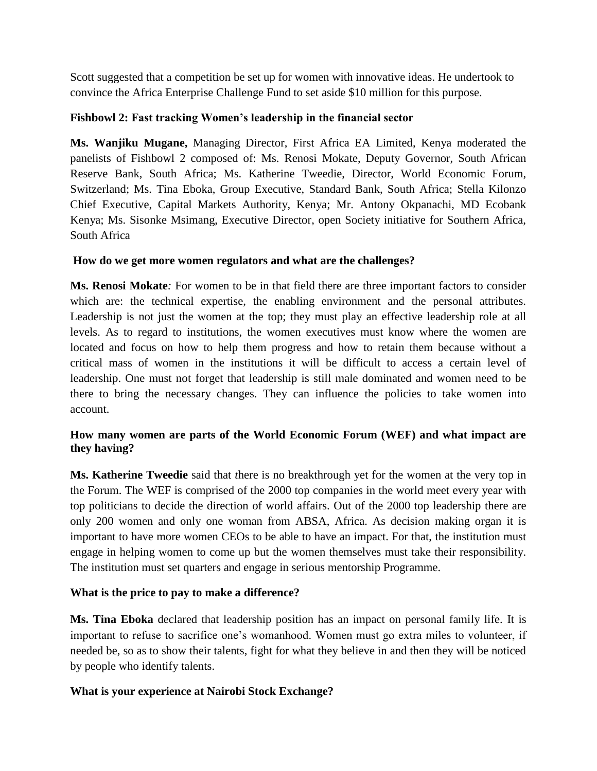Scott suggested that a competition be set up for women with innovative ideas. He undertook to convince the Africa Enterprise Challenge Fund to set aside \$10 million for this purpose.

## **Fishbowl 2: Fast tracking Women's leadership in the financial sector**

**Ms. Wanjiku Mugane,** Managing Director, First Africa EA Limited, Kenya moderated the panelists of Fishbowl 2 composed of: Ms. Renosi Mokate, Deputy Governor, South African Reserve Bank, South Africa; Ms. Katherine Tweedie, Director, World Economic Forum, Switzerland; Ms. Tina Eboka, Group Executive, Standard Bank, South Africa; Stella Kilonzo Chief Executive, Capital Markets Authority, Kenya; Mr. Antony Okpanachi, MD Ecobank Kenya; Ms. Sisonke Msimang, Executive Director, open Society initiative for Southern Africa, South Africa

# **How do we get more women regulators and what are the challenges?**

**Ms. Renosi Mokate***:* For women to be in that field there are three important factors to consider which are: the technical expertise, the enabling environment and the personal attributes. Leadership is not just the women at the top; they must play an effective leadership role at all levels. As to regard to institutions, the women executives must know where the women are located and focus on how to help them progress and how to retain them because without a critical mass of women in the institutions it will be difficult to access a certain level of leadership. One must not forget that leadership is still male dominated and women need to be there to bring the necessary changes. They can influence the policies to take women into account.

# **How many women are parts of the World Economic Forum (WEF) and what impact are they having?**

**Ms. Katherine Tweedie** said that *t*here is no breakthrough yet for the women at the very top in the Forum. The WEF is comprised of the 2000 top companies in the world meet every year with top politicians to decide the direction of world affairs. Out of the 2000 top leadership there are only 200 women and only one woman from ABSA, Africa. As decision making organ it is important to have more women CEOs to be able to have an impact. For that, the institution must engage in helping women to come up but the women themselves must take their responsibility. The institution must set quarters and engage in serious mentorship Programme.

# **What is the price to pay to make a difference?**

**Ms. Tina Eboka** declared that leadership position has an impact on personal family life. It is important to refuse to sacrifice one's womanhood. Women must go extra miles to volunteer, if needed be, so as to show their talents, fight for what they believe in and then they will be noticed by people who identify talents.

# **What is your experience at Nairobi Stock Exchange?**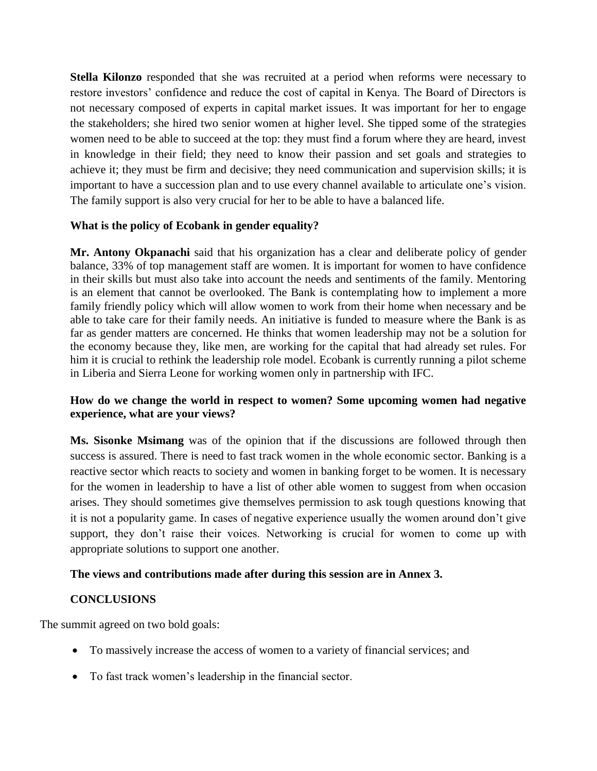**Stella Kilonzo** responded that she *w*as recruited at a period when reforms were necessary to restore investors' confidence and reduce the cost of capital in Kenya. The Board of Directors is not necessary composed of experts in capital market issues. It was important for her to engage the stakeholders; she hired two senior women at higher level. She tipped some of the strategies women need to be able to succeed at the top: they must find a forum where they are heard, invest in knowledge in their field; they need to know their passion and set goals and strategies to achieve it; they must be firm and decisive; they need communication and supervision skills; it is important to have a succession plan and to use every channel available to articulate one's vision. The family support is also very crucial for her to be able to have a balanced life.

## **What is the policy of Ecobank in gender equality?**

**Mr. Antony Okpanachi** said that his organization has a clear and deliberate policy of gender balance, 33% of top management staff are women. It is important for women to have confidence in their skills but must also take into account the needs and sentiments of the family. Mentoring is an element that cannot be overlooked. The Bank is contemplating how to implement a more family friendly policy which will allow women to work from their home when necessary and be able to take care for their family needs. An initiative is funded to measure where the Bank is as far as gender matters are concerned. He thinks that women leadership may not be a solution for the economy because they, like men, are working for the capital that had already set rules. For him it is crucial to rethink the leadership role model. Ecobank is currently running a pilot scheme in Liberia and Sierra Leone for working women only in partnership with IFC.

#### **How do we change the world in respect to women? Some upcoming women had negative experience, what are your views?**

**Ms. Sisonke Msimang** was of the opinion that if the discussions are followed through then success is assured. There is need to fast track women in the whole economic sector. Banking is a reactive sector which reacts to society and women in banking forget to be women. It is necessary for the women in leadership to have a list of other able women to suggest from when occasion arises. They should sometimes give themselves permission to ask tough questions knowing that it is not a popularity game. In cases of negative experience usually the women around don't give support, they don't raise their voices. Networking is crucial for women to come up with appropriate solutions to support one another.

#### **The views and contributions made after during this session are in Annex 3.**

#### **CONCLUSIONS**

The summit agreed on two bold goals:

- To massively increase the access of women to a variety of financial services; and
- To fast track women's leadership in the financial sector.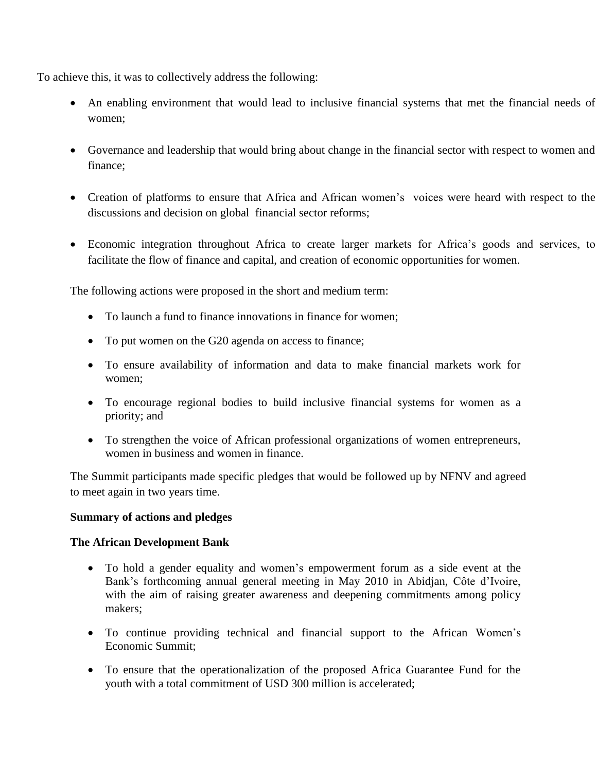To achieve this, it was to collectively address the following:

- An enabling environment that would lead to inclusive financial systems that met the financial needs of women;
- Governance and leadership that would bring about change in the financial sector with respect to women and finance;
- Creation of platforms to ensure that Africa and African women's voices were heard with respect to the discussions and decision on global financial sector reforms;
- Economic integration throughout Africa to create larger markets for Africa's goods and services, to facilitate the flow of finance and capital, and creation of economic opportunities for women.

The following actions were proposed in the short and medium term:

- To launch a fund to finance innovations in finance for women;
- To put women on the G20 agenda on access to finance;
- To ensure availability of information and data to make financial markets work for women;
- To encourage regional bodies to build inclusive financial systems for women as a priority; and
- To strengthen the voice of African professional organizations of women entrepreneurs, women in business and women in finance.

The Summit participants made specific pledges that would be followed up by NFNV and agreed to meet again in two years time.

#### **Summary of actions and pledges**

#### **The African Development Bank**

- To hold a gender equality and women's empowerment forum as a side event at the Bank's forthcoming annual general meeting in May 2010 in Abidjan, Côte d'Ivoire, with the aim of raising greater awareness and deepening commitments among policy makers;
- To continue providing technical and financial support to the African Women's Economic Summit;
- To ensure that the operationalization of the proposed Africa Guarantee Fund for the youth with a total commitment of USD 300 million is accelerated;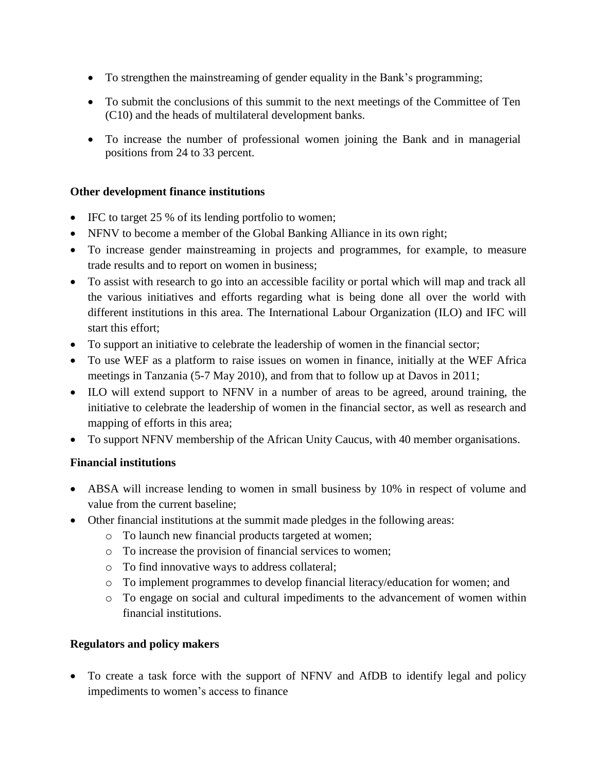- To strengthen the mainstreaming of gender equality in the Bank's programming;
- To submit the conclusions of this summit to the next meetings of the Committee of Ten (C10) and the heads of multilateral development banks.
- To increase the number of professional women joining the Bank and in managerial positions from 24 to 33 percent.

#### **Other development finance institutions**

- IFC to target 25 % of its lending portfolio to women;
- NFNV to become a member of the Global Banking Alliance in its own right;
- To increase gender mainstreaming in projects and programmes, for example, to measure trade results and to report on women in business;
- To assist with research to go into an accessible facility or portal which will map and track all the various initiatives and efforts regarding what is being done all over the world with different institutions in this area. The International Labour Organization (ILO) and IFC will start this effort;
- To support an initiative to celebrate the leadership of women in the financial sector;
- To use WEF as a platform to raise issues on women in finance, initially at the WEF Africa meetings in Tanzania (5-7 May 2010), and from that to follow up at Davos in 2011;
- ILO will extend support to NFNV in a number of areas to be agreed, around training, the initiative to celebrate the leadership of women in the financial sector, as well as research and mapping of efforts in this area;
- To support NFNV membership of the African Unity Caucus, with 40 member organisations.

## **Financial institutions**

- ABSA will increase lending to women in small business by 10% in respect of volume and value from the current baseline;
- Other financial institutions at the summit made pledges in the following areas:
	- o To launch new financial products targeted at women;
	- o To increase the provision of financial services to women;
	- o To find innovative ways to address collateral;
	- o To implement programmes to develop financial literacy/education for women; and
	- o To engage on social and cultural impediments to the advancement of women within financial institutions.

## **Regulators and policy makers**

 To create a task force with the support of NFNV and AfDB to identify legal and policy impediments to women's access to finance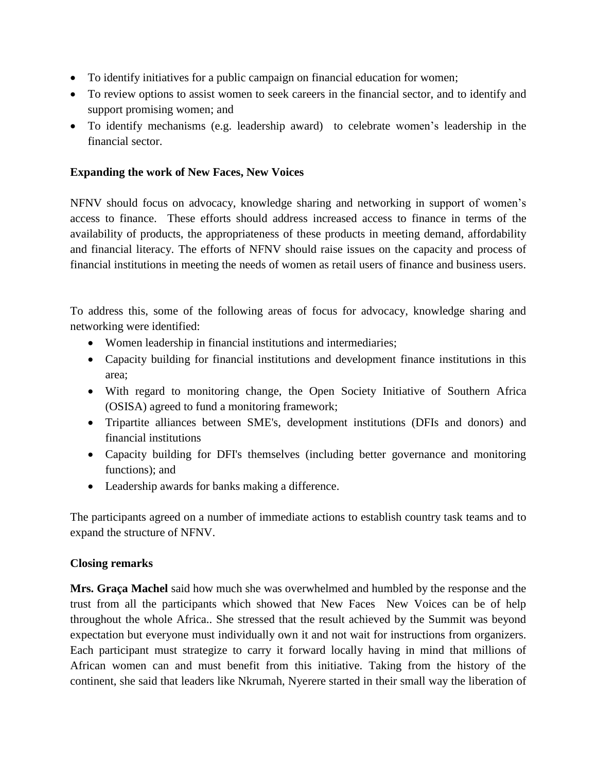- To identify initiatives for a public campaign on financial education for women;
- To review options to assist women to seek careers in the financial sector, and to identify and support promising women; and
- To identify mechanisms (e.g. leadership award) to celebrate women's leadership in the financial sector.

#### **Expanding the work of New Faces, New Voices**

NFNV should focus on advocacy, knowledge sharing and networking in support of women's access to finance. These efforts should address increased access to finance in terms of the availability of products, the appropriateness of these products in meeting demand, affordability and financial literacy. The efforts of NFNV should raise issues on the capacity and process of financial institutions in meeting the needs of women as retail users of finance and business users.

To address this, some of the following areas of focus for advocacy, knowledge sharing and networking were identified:

- Women leadership in financial institutions and intermediaries;
- Capacity building for financial institutions and development finance institutions in this area;
- With regard to monitoring change, the Open Society Initiative of Southern Africa (OSISA) agreed to fund a monitoring framework;
- Tripartite alliances between SME's, development institutions (DFIs and donors) and financial institutions
- Capacity building for DFI's themselves (including better governance and monitoring functions); and
- Leadership awards for banks making a difference.

The participants agreed on a number of immediate actions to establish country task teams and to expand the structure of NFNV.

## **Closing remarks**

**Mrs. Graça Machel** said how much she was overwhelmed and humbled by the response and the trust from all the participants which showed that New Faces New Voices can be of help throughout the whole Africa.. She stressed that the result achieved by the Summit was beyond expectation but everyone must individually own it and not wait for instructions from organizers. Each participant must strategize to carry it forward locally having in mind that millions of African women can and must benefit from this initiative. Taking from the history of the continent, she said that leaders like Nkrumah, Nyerere started in their small way the liberation of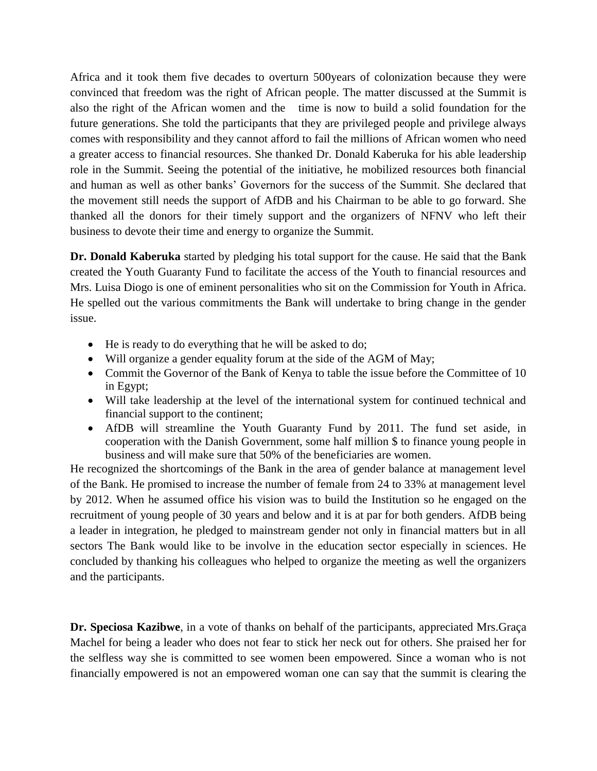Africa and it took them five decades to overturn 500years of colonization because they were convinced that freedom was the right of African people. The matter discussed at the Summit is also the right of the African women and the time is now to build a solid foundation for the future generations. She told the participants that they are privileged people and privilege always comes with responsibility and they cannot afford to fail the millions of African women who need a greater access to financial resources. She thanked Dr. Donald Kaberuka for his able leadership role in the Summit. Seeing the potential of the initiative, he mobilized resources both financial and human as well as other banks' Governors for the success of the Summit. She declared that the movement still needs the support of AfDB and his Chairman to be able to go forward. She thanked all the donors for their timely support and the organizers of NFNV who left their business to devote their time and energy to organize the Summit.

**Dr. Donald Kaberuka** started by pledging his total support for the cause. He said that the Bank created the Youth Guaranty Fund to facilitate the access of the Youth to financial resources and Mrs. Luisa Diogo is one of eminent personalities who sit on the Commission for Youth in Africa. He spelled out the various commitments the Bank will undertake to bring change in the gender issue.

- He is ready to do everything that he will be asked to do;
- Will organize a gender equality forum at the side of the AGM of May;
- Commit the Governor of the Bank of Kenya to table the issue before the Committee of 10 in Egypt;
- Will take leadership at the level of the international system for continued technical and financial support to the continent;
- AfDB will streamline the Youth Guaranty Fund by 2011. The fund set aside, in cooperation with the Danish Government, some half million \$ to finance young people in business and will make sure that 50% of the beneficiaries are women.

He recognized the shortcomings of the Bank in the area of gender balance at management level of the Bank. He promised to increase the number of female from 24 to 33% at management level by 2012. When he assumed office his vision was to build the Institution so he engaged on the recruitment of young people of 30 years and below and it is at par for both genders. AfDB being a leader in integration, he pledged to mainstream gender not only in financial matters but in all sectors The Bank would like to be involve in the education sector especially in sciences. He concluded by thanking his colleagues who helped to organize the meeting as well the organizers and the participants.

**Dr. Speciosa Kazibwe**, in a vote of thanks on behalf of the participants, appreciated Mrs.Graça Machel for being a leader who does not fear to stick her neck out for others. She praised her for the selfless way she is committed to see women been empowered. Since a woman who is not financially empowered is not an empowered woman one can say that the summit is clearing the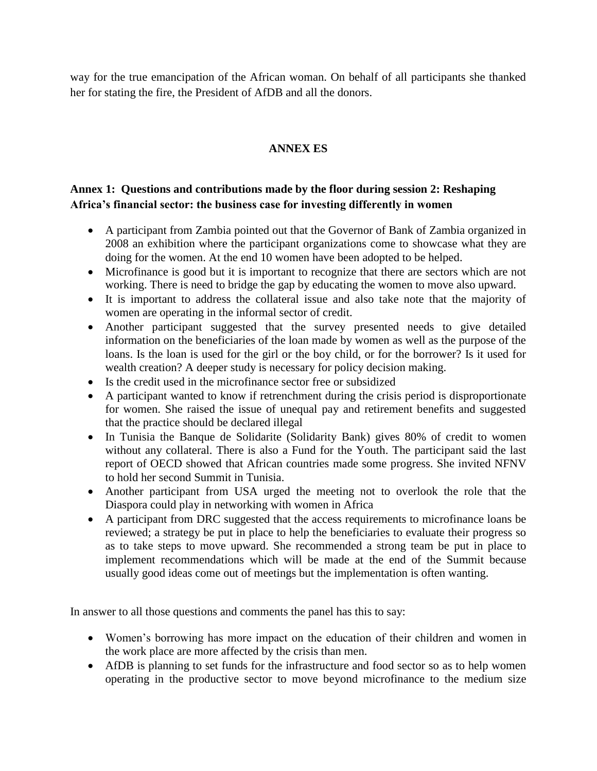way for the true emancipation of the African woman. On behalf of all participants she thanked her for stating the fire, the President of AfDB and all the donors.

# **ANNEX ES**

# **Annex 1: Questions and contributions made by the floor during session 2: Reshaping Africa's financial sector: the business case for investing differently in women**

- A participant from Zambia pointed out that the Governor of Bank of Zambia organized in 2008 an exhibition where the participant organizations come to showcase what they are doing for the women. At the end 10 women have been adopted to be helped.
- Microfinance is good but it is important to recognize that there are sectors which are not working. There is need to bridge the gap by educating the women to move also upward.
- It is important to address the collateral issue and also take note that the majority of women are operating in the informal sector of credit.
- Another participant suggested that the survey presented needs to give detailed information on the beneficiaries of the loan made by women as well as the purpose of the loans. Is the loan is used for the girl or the boy child, or for the borrower? Is it used for wealth creation? A deeper study is necessary for policy decision making.
- Is the credit used in the microfinance sector free or subsidized
- A participant wanted to know if retrenchment during the crisis period is disproportionate for women. She raised the issue of unequal pay and retirement benefits and suggested that the practice should be declared illegal
- In Tunisia the Banque de Solidarite (Solidarity Bank) gives 80% of credit to women without any collateral. There is also a Fund for the Youth. The participant said the last report of OECD showed that African countries made some progress. She invited NFNV to hold her second Summit in Tunisia.
- Another participant from USA urged the meeting not to overlook the role that the Diaspora could play in networking with women in Africa
- A participant from DRC suggested that the access requirements to microfinance loans be reviewed; a strategy be put in place to help the beneficiaries to evaluate their progress so as to take steps to move upward. She recommended a strong team be put in place to implement recommendations which will be made at the end of the Summit because usually good ideas come out of meetings but the implementation is often wanting.

In answer to all those questions and comments the panel has this to say:

- Women's borrowing has more impact on the education of their children and women in the work place are more affected by the crisis than men.
- AfDB is planning to set funds for the infrastructure and food sector so as to help women operating in the productive sector to move beyond microfinance to the medium size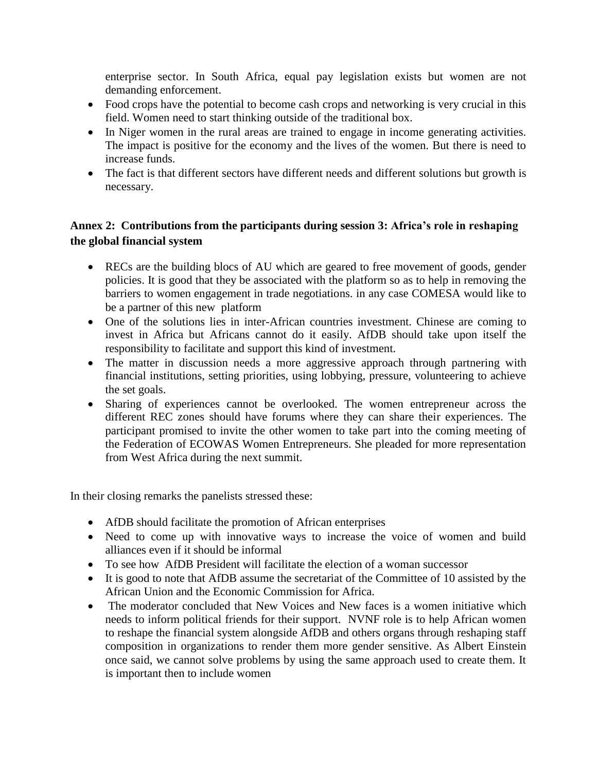enterprise sector. In South Africa, equal pay legislation exists but women are not demanding enforcement.

- Food crops have the potential to become cash crops and networking is very crucial in this field. Women need to start thinking outside of the traditional box.
- In Niger women in the rural areas are trained to engage in income generating activities. The impact is positive for the economy and the lives of the women. But there is need to increase funds.
- The fact is that different sectors have different needs and different solutions but growth is necessary.

# **Annex 2: Contributions from the participants during session 3: Africa's role in reshaping the global financial system**

- RECs are the building blocs of AU which are geared to free movement of goods, gender policies. It is good that they be associated with the platform so as to help in removing the barriers to women engagement in trade negotiations. in any case COMESA would like to be a partner of this new platform
- One of the solutions lies in inter-African countries investment. Chinese are coming to invest in Africa but Africans cannot do it easily. AfDB should take upon itself the responsibility to facilitate and support this kind of investment.
- The matter in discussion needs a more aggressive approach through partnering with financial institutions, setting priorities, using lobbying, pressure, volunteering to achieve the set goals.
- Sharing of experiences cannot be overlooked. The women entrepreneur across the different REC zones should have forums where they can share their experiences. The participant promised to invite the other women to take part into the coming meeting of the Federation of ECOWAS Women Entrepreneurs. She pleaded for more representation from West Africa during the next summit.

In their closing remarks the panelists stressed these:

- AfDB should facilitate the promotion of African enterprises
- Need to come up with innovative ways to increase the voice of women and build alliances even if it should be informal
- To see how AfDB President will facilitate the election of a woman successor
- It is good to note that AfDB assume the secretariat of the Committee of 10 assisted by the African Union and the Economic Commission for Africa.
- The moderator concluded that New Voices and New faces is a women initiative which needs to inform political friends for their support. NVNF role is to help African women to reshape the financial system alongside AfDB and others organs through reshaping staff composition in organizations to render them more gender sensitive. As Albert Einstein once said, we cannot solve problems by using the same approach used to create them. It is important then to include women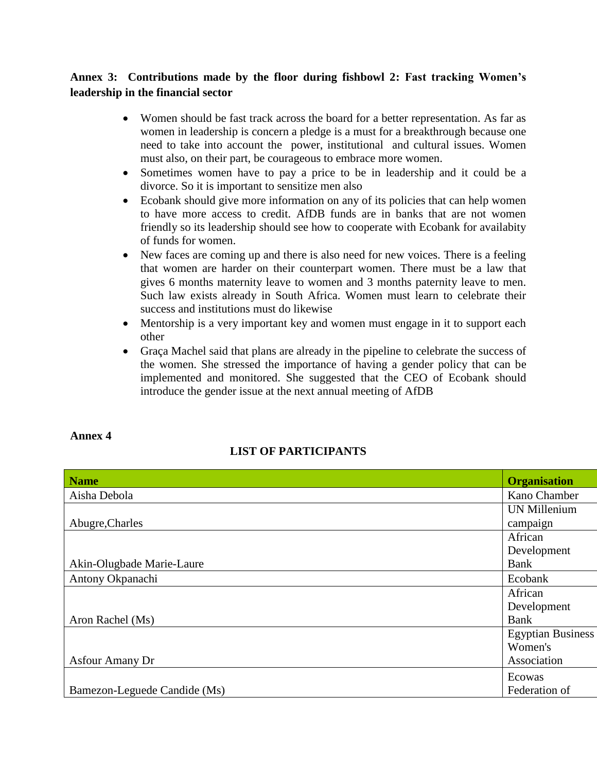# **Annex 3: Contributions made by the floor during fishbowl 2: Fast tracking Women's leadership in the financial sector**

- Women should be fast track across the board for a better representation. As far as women in leadership is concern a pledge is a must for a breakthrough because one need to take into account the power, institutional and cultural issues. Women must also, on their part, be courageous to embrace more women.
- Sometimes women have to pay a price to be in leadership and it could be a divorce. So it is important to sensitize men also
- Ecobank should give more information on any of its policies that can help women to have more access to credit. AfDB funds are in banks that are not women friendly so its leadership should see how to cooperate with Ecobank for availabity of funds for women.
- New faces are coming up and there is also need for new voices. There is a feeling that women are harder on their counterpart women. There must be a law that gives 6 months maternity leave to women and 3 months paternity leave to men. Such law exists already in South Africa. Women must learn to celebrate their success and institutions must do likewise
- Mentorship is a very important key and women must engage in it to support each other
- Graça Machel said that plans are already in the pipeline to celebrate the success of the women. She stressed the importance of having a gender policy that can be implemented and monitored. She suggested that the CEO of Ecobank should introduce the gender issue at the next annual meeting of AfDB

#### **Annex 4**

## **LIST OF PARTICIPANTS**

| Name                         | <b>Organisation</b>      |
|------------------------------|--------------------------|
| Aisha Debola                 | Kano Chamber             |
|                              | UN Millenium             |
| Abugre, Charles              | campaign                 |
|                              | African                  |
|                              | Development              |
| Akin-Olugbade Marie-Laure    | Bank                     |
| Antony Okpanachi             | Ecobank                  |
|                              | African                  |
|                              | Development              |
| Aron Rachel (Ms)             | Bank                     |
|                              | <b>Egyptian Business</b> |
|                              | Women's                  |
| <b>Asfour Amany Dr</b>       | Association              |
|                              | Ecowas                   |
| Bamezon-Leguede Candide (Ms) | Federation of            |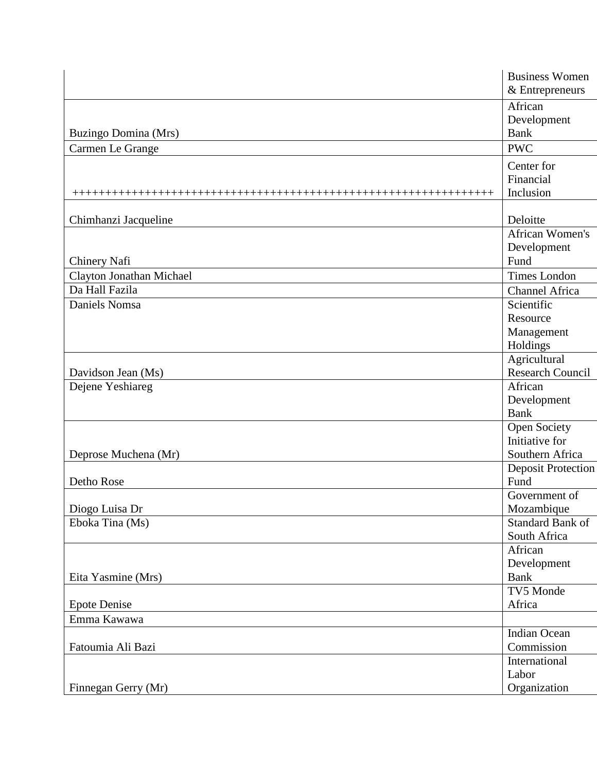|                             | <b>Business Women</b>     |
|-----------------------------|---------------------------|
|                             | $\&$ Entrepreneurs        |
|                             | African                   |
|                             | Development               |
| <b>Buzingo Domina (Mrs)</b> | <b>Bank</b>               |
| Carmen Le Grange            | <b>PWC</b>                |
|                             | Center for                |
|                             | Financial                 |
|                             | Inclusion                 |
| Chimhanzi Jacqueline        | Deloitte                  |
|                             | African Women's           |
|                             | Development               |
| Chinery Nafi                | Fund                      |
| Clayton Jonathan Michael    | Times London              |
| Da Hall Fazila              | Channel Africa            |
| Daniels Nomsa               | Scientific                |
|                             | Resource                  |
|                             | Management                |
|                             | Holdings                  |
|                             | Agricultural              |
| Davidson Jean (Ms)          | Research Council          |
| Dejene Yeshiareg            | African                   |
|                             | Development               |
|                             | <b>Bank</b>               |
|                             | <b>Open Society</b>       |
|                             | Initiative for            |
| Deprose Muchena (Mr)        | Southern Africa           |
|                             | <b>Deposit Protection</b> |
| Detho Rose                  | Fund                      |
|                             | Government of             |
| Diogo Luisa Dr              | Mozambique                |
| Eboka Tina (Ms)             | Standard Bank of          |
|                             | South Africa              |
|                             | African                   |
|                             | Development               |
| Eita Yasmine (Mrs)          | Bank                      |
|                             | TV5 Monde                 |
| <b>Epote Denise</b>         | Africa                    |
| Emma Kawawa                 |                           |
|                             | Indian Ocean              |
| Fatoumia Ali Bazi           | Commission                |
|                             | International             |
|                             | Labor                     |
| Finnegan Gerry (Mr)         | Organization              |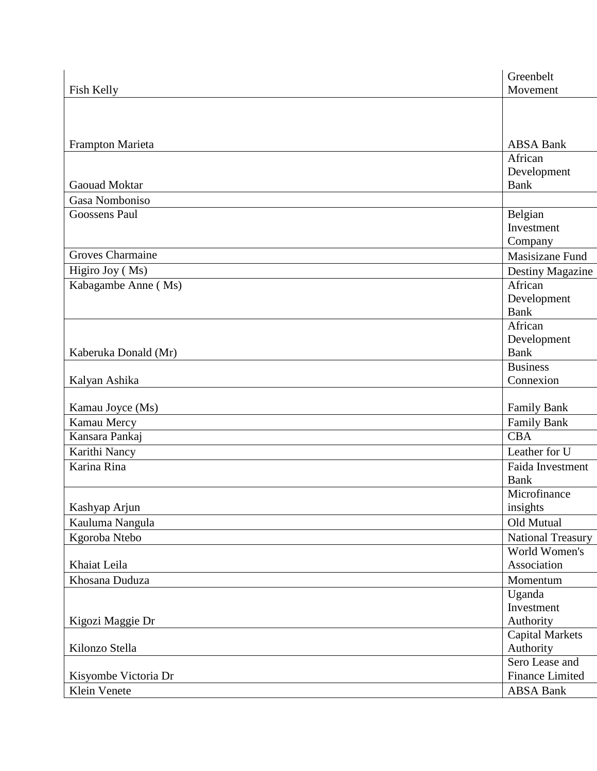|                      | Greenbelt                |  |
|----------------------|--------------------------|--|
| Fish Kelly           | Movement                 |  |
|                      |                          |  |
|                      |                          |  |
|                      |                          |  |
| Frampton Marieta     | <b>ABSA Bank</b>         |  |
|                      | African                  |  |
|                      | Development              |  |
| Gaouad Moktar        | <b>Bank</b>              |  |
| Gasa Nomboniso       |                          |  |
| Goossens Paul        | Belgian                  |  |
|                      | Investment               |  |
|                      | Company                  |  |
| Groves Charmaine     | Masisizane Fund          |  |
| Higiro Joy (Ms)      | Destiny Magazine         |  |
| Kabagambe Anne (Ms)  | African                  |  |
|                      | Development              |  |
|                      | <b>Bank</b>              |  |
|                      | African                  |  |
|                      | Development              |  |
| Kaberuka Donald (Mr) | Bank                     |  |
|                      | <b>Business</b>          |  |
| Kalyan Ashika        | Connexion                |  |
|                      |                          |  |
| Kamau Joyce (Ms)     | Family Bank              |  |
| Kamau Mercy          | Family Bank              |  |
| Kansara Pankaj       | <b>CBA</b>               |  |
| Karithi Nancy        | Leather for U            |  |
| Karina Rina          | Faida Investment         |  |
|                      | <b>Bank</b>              |  |
|                      | Microfinance             |  |
| Kashyap Arjun        | insights                 |  |
| Kauluma Nangula      | Old Mutual               |  |
| Kgoroba Ntebo        | <b>National Treasury</b> |  |
|                      | World Women's            |  |
| Khaiat Leila         | Association              |  |
| Khosana Duduza       | Momentum                 |  |
|                      | Uganda                   |  |
|                      | Investment               |  |
| Kigozi Maggie Dr     | Authority                |  |
|                      | <b>Capital Markets</b>   |  |
| Kilonzo Stella       | Authority                |  |
|                      | Sero Lease and           |  |
| Kisyombe Victoria Dr | Finance Limited          |  |
| Klein Venete         | ABSA Bank                |  |
|                      |                          |  |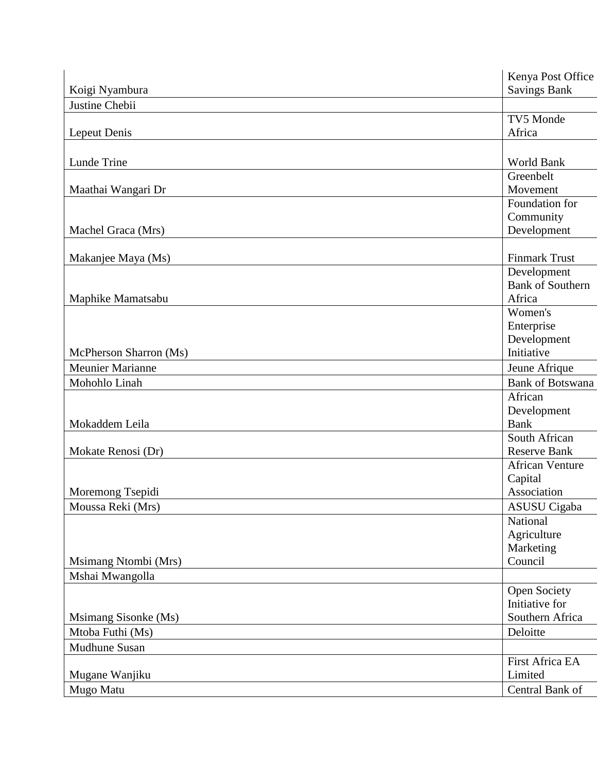|                        | Kenya Post Office        |
|------------------------|--------------------------|
| Koigi Nyambura         | <b>Savings Bank</b>      |
| Justine Chebii         |                          |
|                        | TV5 Monde                |
| Lepeut Denis           | Africa                   |
|                        |                          |
| Lunde Trine            | World Bank               |
|                        | Greenbelt                |
| Maathai Wangari Dr     | Movement                 |
|                        | Foundation for           |
|                        | Community                |
| Machel Graca (Mrs)     | Development              |
|                        |                          |
| Makanjee Maya (Ms)     | <b>Finmark Trust</b>     |
|                        | Development              |
|                        | <b>Bank of Southern</b>  |
| Maphike Mamatsabu      | Africa                   |
|                        | Women's                  |
|                        | Enterprise               |
|                        | Development              |
| McPherson Sharron (Ms) | Initiative               |
| Meunier Marianne       | Jeune Afrique            |
| Mohohlo Linah          | <b>Bank of Botswana</b>  |
|                        | African                  |
|                        | Development              |
| Mokaddem Leila         | <b>Bank</b>              |
|                        | South African            |
| Mokate Renosi (Dr)     | <b>Reserve Bank</b>      |
|                        | <b>African Venture</b>   |
|                        | Capital                  |
| Moremong Tsepidi       | Association              |
|                        |                          |
| Moussa Reki (Mrs)      | ASUSU Cigaba<br>National |
|                        |                          |
|                        | Agriculture              |
| Msimang Ntombi (Mrs)   | Marketing<br>Council     |
|                        |                          |
| Mshai Mwangolla        |                          |
|                        | Open Society             |
|                        | Initiative for           |
| Msimang Sisonke (Ms)   | Southern Africa          |
| Mtoba Futhi (Ms)       | Deloitte                 |
| Mudhune Susan          |                          |
|                        | First Africa EA          |
| Mugane Wanjiku         | Limited                  |
| Mugo Matu              | Central Bank of          |
|                        |                          |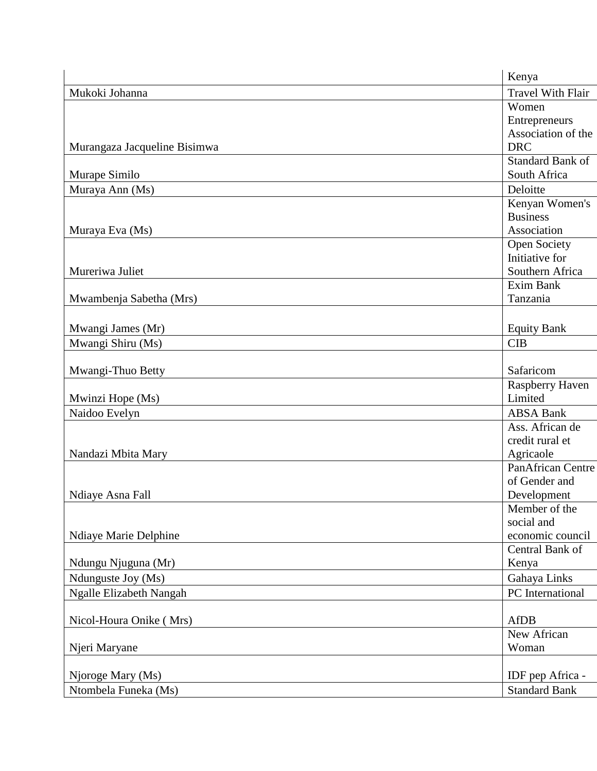| Travel With Flair<br>Mukoki Johanna<br>Women<br>Entrepreneurs<br>Association of the<br><b>DRC</b><br>Murangaza Jacqueline Bisimwa<br>Standard Bank of<br>South Africa<br>Murape Similo<br>Deloitte<br>Muraya Ann (Ms)<br>Kenyan Women's<br><b>Business</b><br>Muraya Eva (Ms)<br>Association<br>Open Society<br>Initiative for<br>Mureriwa Juliet<br>Southern Africa<br>Exim Bank<br>Mwambenja Sabetha (Mrs)<br>Tanzania |
|--------------------------------------------------------------------------------------------------------------------------------------------------------------------------------------------------------------------------------------------------------------------------------------------------------------------------------------------------------------------------------------------------------------------------|
|                                                                                                                                                                                                                                                                                                                                                                                                                          |
|                                                                                                                                                                                                                                                                                                                                                                                                                          |
|                                                                                                                                                                                                                                                                                                                                                                                                                          |
|                                                                                                                                                                                                                                                                                                                                                                                                                          |
|                                                                                                                                                                                                                                                                                                                                                                                                                          |
|                                                                                                                                                                                                                                                                                                                                                                                                                          |
|                                                                                                                                                                                                                                                                                                                                                                                                                          |
|                                                                                                                                                                                                                                                                                                                                                                                                                          |
|                                                                                                                                                                                                                                                                                                                                                                                                                          |
|                                                                                                                                                                                                                                                                                                                                                                                                                          |
|                                                                                                                                                                                                                                                                                                                                                                                                                          |
|                                                                                                                                                                                                                                                                                                                                                                                                                          |
|                                                                                                                                                                                                                                                                                                                                                                                                                          |
|                                                                                                                                                                                                                                                                                                                                                                                                                          |
|                                                                                                                                                                                                                                                                                                                                                                                                                          |
|                                                                                                                                                                                                                                                                                                                                                                                                                          |
|                                                                                                                                                                                                                                                                                                                                                                                                                          |
| <b>Equity Bank</b><br>Mwangi James (Mr)                                                                                                                                                                                                                                                                                                                                                                                  |
| Mwangi Shiru (Ms)<br>CIB                                                                                                                                                                                                                                                                                                                                                                                                 |
|                                                                                                                                                                                                                                                                                                                                                                                                                          |
| Safaricom<br>Mwangi-Thuo Betty                                                                                                                                                                                                                                                                                                                                                                                           |
| Raspberry Haven                                                                                                                                                                                                                                                                                                                                                                                                          |
| Mwinzi Hope (Ms)<br>Limited                                                                                                                                                                                                                                                                                                                                                                                              |
| Naidoo Evelyn<br><b>ABSA Bank</b>                                                                                                                                                                                                                                                                                                                                                                                        |
| Ass. African de                                                                                                                                                                                                                                                                                                                                                                                                          |
| credit rural et                                                                                                                                                                                                                                                                                                                                                                                                          |
| Nandazi Mbita Mary<br>Agricaole                                                                                                                                                                                                                                                                                                                                                                                          |
| PanAfrican Centre                                                                                                                                                                                                                                                                                                                                                                                                        |
| of Gender and                                                                                                                                                                                                                                                                                                                                                                                                            |
| Ndiaye Asna Fall<br>Development                                                                                                                                                                                                                                                                                                                                                                                          |
| $\overline{\text{Member of}}$ the                                                                                                                                                                                                                                                                                                                                                                                        |
| social and                                                                                                                                                                                                                                                                                                                                                                                                               |
| Ndiaye Marie Delphine<br>economic council                                                                                                                                                                                                                                                                                                                                                                                |
| Central Bank of                                                                                                                                                                                                                                                                                                                                                                                                          |
| Ndungu Njuguna (Mr)<br>Kenya                                                                                                                                                                                                                                                                                                                                                                                             |
| Gahaya Links<br>Ndunguste Joy (Ms)                                                                                                                                                                                                                                                                                                                                                                                       |
| PC International<br>Ngalle Elizabeth Nangah                                                                                                                                                                                                                                                                                                                                                                              |
|                                                                                                                                                                                                                                                                                                                                                                                                                          |
| Nicol-Houra Onike (Mrs)<br><b>AfDB</b>                                                                                                                                                                                                                                                                                                                                                                                   |
| New African                                                                                                                                                                                                                                                                                                                                                                                                              |
| Njeri Maryane<br>Woman                                                                                                                                                                                                                                                                                                                                                                                                   |
|                                                                                                                                                                                                                                                                                                                                                                                                                          |
| IDF pep Africa -<br>Njoroge Mary (Ms)                                                                                                                                                                                                                                                                                                                                                                                    |
| Ntombela Funeka (Ms)<br><b>Standard Bank</b>                                                                                                                                                                                                                                                                                                                                                                             |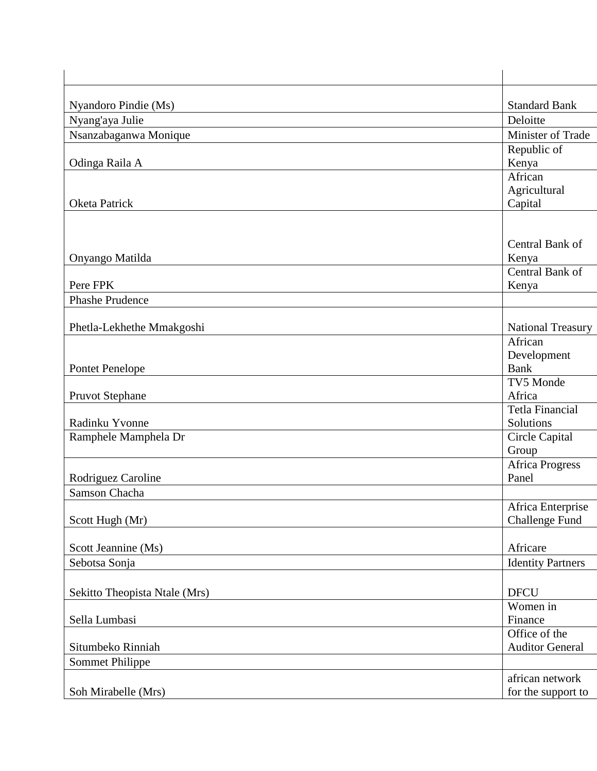| Nyandoro Pindie (Ms)          | <b>Standard Bank</b>     |
|-------------------------------|--------------------------|
| Nyang'aya Julie               | Deloitte                 |
| Nsanzabaganwa Monique         | Minister of Trade        |
|                               | Republic of              |
| Odinga Raila A                | Kenya                    |
|                               | African                  |
|                               | Agricultural             |
| Oketa Patrick                 | Capital                  |
|                               |                          |
|                               |                          |
|                               | Central Bank of          |
| Onyango Matilda               | Kenya                    |
|                               | Central Bank of          |
| Pere FPK                      | Kenya                    |
| <b>Phashe Prudence</b>        |                          |
|                               |                          |
| Phetla-Lekhethe Mmakgoshi     | <b>National Treasury</b> |
|                               | African                  |
|                               | Development              |
| <b>Pontet Penelope</b>        | <b>Bank</b>              |
|                               | TV5 Monde                |
| <b>Pruvot Stephane</b>        | Africa                   |
|                               | Tetla Financial          |
| Radinku Yvonne                | Solutions                |
| Ramphele Mamphela Dr          | Circle Capital           |
|                               | Group                    |
|                               | Africa Progress          |
| Rodriguez Caroline            | Panel                    |
| Samson Chacha                 |                          |
|                               | Africa Enterprise        |
| Scott Hugh (Mr)               | Challenge Fund           |
|                               |                          |
| Scott Jeannine (Ms)           | Africare                 |
| Sebotsa Sonja                 | <b>Identity Partners</b> |
|                               |                          |
|                               |                          |
| Sekitto Theopista Ntale (Mrs) | <b>DFCU</b>              |
|                               | Women in                 |
| Sella Lumbasi                 | Finance                  |
|                               | Office of the            |
| Situmbeko Rinniah             | <b>Auditor General</b>   |
| Sommet Philippe               |                          |
|                               | african network          |
| Soh Mirabelle (Mrs)           | for the support to       |
|                               |                          |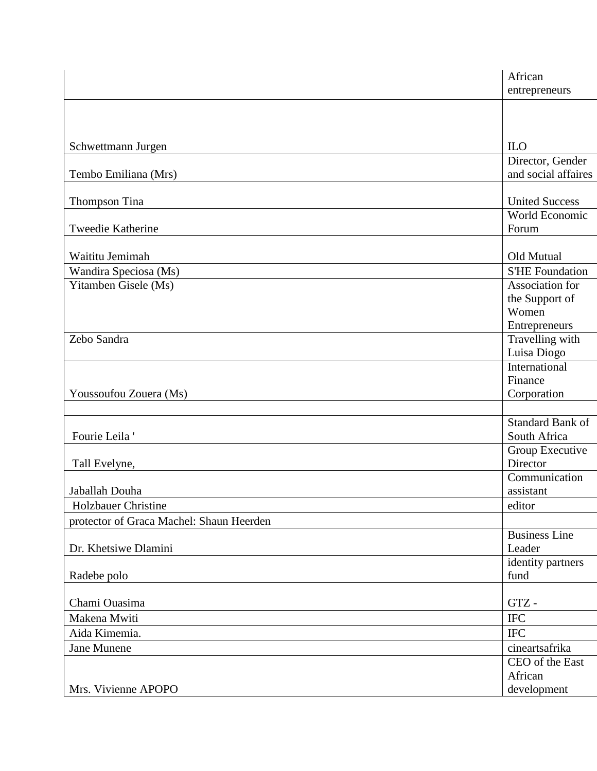|                                          | African<br>entrepreneurs         |  |
|------------------------------------------|----------------------------------|--|
|                                          |                                  |  |
|                                          |                                  |  |
|                                          |                                  |  |
| Schwettmann Jurgen                       | $_{\text{ILO}}$                  |  |
|                                          | Director, Gender                 |  |
| Tembo Emiliana (Mrs)                     | and social affaires              |  |
| Thompson Tina                            | <b>United Success</b>            |  |
|                                          | World Economic                   |  |
| Tweedie Katherine                        | Forum                            |  |
|                                          |                                  |  |
| Waititu Jemimah                          | Old Mutual                       |  |
| Wandira Speciosa (Ms)                    | <b>S'HE Foundation</b>           |  |
| Yitamben Gisele (Ms)                     | Association for                  |  |
|                                          | the Support of                   |  |
|                                          | Women                            |  |
|                                          | <b>Entrepreneurs</b>             |  |
| Zebo Sandra                              | Travelling with                  |  |
|                                          | Luisa Diogo                      |  |
|                                          | International                    |  |
| Youssoufou Zouera (Ms)                   | Finance                          |  |
|                                          | Corporation                      |  |
|                                          |                                  |  |
| Fourie Leila                             | Standard Bank of<br>South Africa |  |
|                                          | Group Executive                  |  |
| Tall Evelyne,                            | Director                         |  |
|                                          | Communication                    |  |
| Jaballah Douha                           | assistant                        |  |
| Holzbauer Christine                      | editor                           |  |
| protector of Graca Machel: Shaun Heerden |                                  |  |
|                                          | <b>Business Line</b>             |  |
| Dr. Khetsiwe Dlamini                     | Leader                           |  |
|                                          | identity partners                |  |
| Radebe polo                              | fund                             |  |
|                                          |                                  |  |
| Chami Ouasima                            | ${\rm GTZ}$ -                    |  |
| Makena Mwiti                             | <b>IFC</b>                       |  |
| Aida Kimemia.                            | $\rm IFC$                        |  |
| Jane Munene                              | cineartsafrika                   |  |
|                                          | CEO of the East                  |  |
|                                          | African                          |  |
| Mrs. Vivienne APOPO                      | development                      |  |